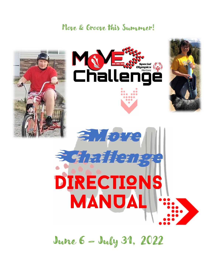## Move & Groove this Summer!









June 6 – July 31, 2022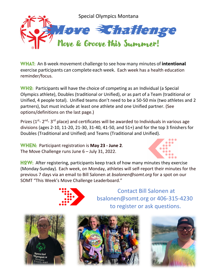

**WHAT:** An 8-week movement challenge to see how many minutes of **intentional** exercise participants can complete each week. Each week has a health education reminder/focus.

 $WH2:$  Participants will have the choice of competing as an Individual (a Special Olympics athlete), Doubles (traditional or Unified), or as part of a Team (traditional or Unified, 4 people total). Unified teams don't need to be a 50-50 mix (two athletes and 2 partners), but must include at least one athlete and one Unified partner. (See options/definitions on the last page.)

Prizes ( $1^{st}$ -  $2^{nd}$ -  $3^{rd}$  place) and certificates will be awarded to Individuals in various age divisions (ages 2-10, 11-20, 21-30, 31-40, 41-50, and 51+) and for the top 3 finishers for Doubles (Traditional and Unified) and Teams (Traditional and Unified).

**WHEN:** Participant registration is **May 23 - June 2**. The Move Challenge runs June 6 – July 31, 2022.



HOW: After registering, participants keep track of how many minutes they exercise (Monday-Sunday). Each week, on Monday, athletes will self-report their minutes for the previous 7 days via an email to Bill Salonen at *bsalonen@somt.org* for a spot on our SOMT "This Week's Move Challenge Leaderboard."



Contact Bill Salonen at bsalonen@somt.org or 406-315-4230 to register or ask questions.





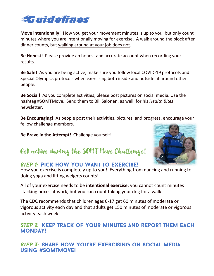

**Move intentionally!** How you get your movement minutes is up to you, but only count minutes where you are intentionally moving for exercise. A walk around the block after dinner counts, but walking around at your job does not.

**Be Honest!** Please provide an honest and accurate account when recording your results.

**Be Safe!** As you are being active, make sure you follow local COVID-19 protocols and Special Olympics protocols when exercising both inside and outside, if around other people.

**Be Social!** As you complete activities, please post pictures on social media. Use the hashtag #SOMTMove. Send them to Bill Salonen, as well, for his *Health Bites* newsletter.

**Be Encouraging!** As people post their activities, pictures, and progress, encourage your fellow challenge members.

**Be Brave in the Attempt!** Challenge yourself!



### Get active during the SOMT Move Challenge!

#### **STEP 1: PICK HOW YOU WANT TO EXERCISE!**

How you exercise is completely up to you! Everything from dancing and running to doing yoga and lifting weights counts!

All of your exercise needs to be **intentional exercise**: you cannot count minutes stacking boxes at work, but you can count taking your dog for a walk.

The CDC recommends that children ages 6-17 get 60 minutes of moderate or vigorous activity each day and that adults get 150 minutes of moderate or vigorous activity each week.

#### STEP 2: KEEP TRACK OF YOUR MINUTES AND REPORT THEM EACH **MONDAY!**

**STEP 3: SHARE HOW YOU'RE EXERCISING ON SOCIAL MEDIA** USING #SOMTMOVE!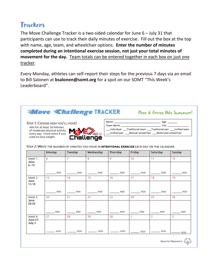### Trackers

The Move Challenge Tracker is a two-sided calendar for June 6 – July 31 that participants can use to track their daily minutes of exercise. Fill out the box at the top with name, age, team, and wheelchair options. **Enter the number of minutes completed during an intentional exercise session, not just your total minutes of movement for the day.** Team totals can be entered together in each box on just one tracker.

Every Monday, athletes can self-report their steps for the previous 7 days via an email to Bill Salonen at **bsalonen@somt.org** for a spot on our SOMT "This Week's Leaderboard".

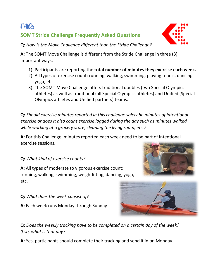## **FAQ**

### **SOMT Stride Challenge Frequently Asked Questions**

**Q:** *How is the Move Challenge different than the Stride Challenge?*

**A:** The SOMT Move Challenge is different from the Stride Challenge in three (3) important ways:

- 1) Participants are reporting the **total number of minutes they exercise each week.**
- 2) All types of exercise count: running, walking, swimming, playing tennis, dancing, yoga, etc.
- 3) The SOMT Move Challenge offers traditional doubles (two Special Olympics athletes) as well as traditional (all Special Olympics athletes) and Unified (Special Olympics athletes and Unified partners) teams.

**Q:** *Should exercise minutes reported in this challenge solely be minutes of intentional exercise or does it also count exercise logged during the day such as minutes walked while working at a grocery store, cleaning the living room, etc.?*

**A:** For this Challenge, minutes reported each week need to be part of intentional exercise sessions.

**Q:** *What kind of exercise counts?* 

**A:** All types of moderate to vigorous exercise count: running, walking, swimming, weightlifting, dancing, yoga, etc.

- **Q:** *What does the week consist of?*
- **A:** Each week runs Monday through Sunday.

**Q:** *Does the weekly tracking have to be completed on a certain day of the week? If so, what is that day?*

**A:** Yes, participants should complete their tracking and send it in on Monday.